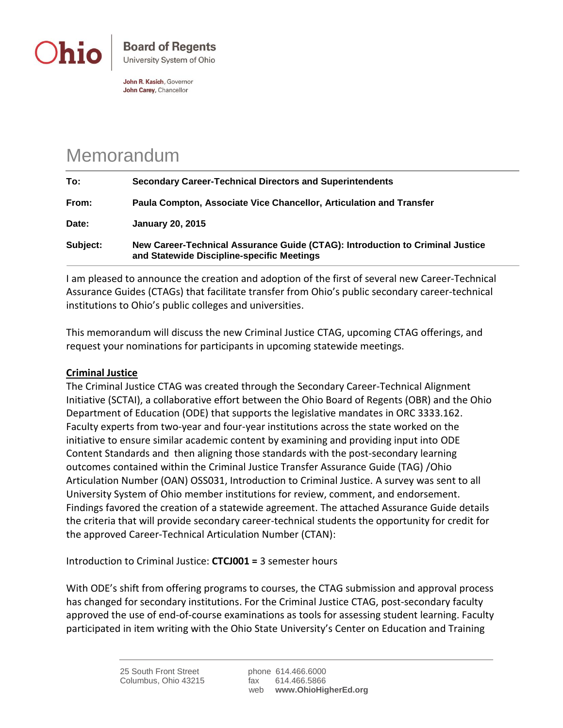

John R. Kasich, Governor John Carey, Chancellor

## Memorandum

| To:      | <b>Secondary Career-Technical Directors and Superintendents</b>                                                             |
|----------|-----------------------------------------------------------------------------------------------------------------------------|
| From:    | Paula Compton, Associate Vice Chancellor, Articulation and Transfer                                                         |
| Date:    | <b>January 20, 2015</b>                                                                                                     |
| Subject: | New Career-Technical Assurance Guide (CTAG): Introduction to Criminal Justice<br>and Statewide Discipline-specific Meetings |

I am pleased to announce the creation and adoption of the first of several new Career-Technical Assurance Guides (CTAGs) that facilitate transfer from Ohio's public secondary career-technical institutions to Ohio's public colleges and universities.

This memorandum will discuss the new Criminal Justice CTAG, upcoming CTAG offerings, and request your nominations for participants in upcoming statewide meetings.

## **Criminal Justice**

The Criminal Justice CTAG was created through the Secondary Career-Technical Alignment Initiative (SCTAI), a collaborative effort between the Ohio Board of Regents (OBR) and the Ohio Department of Education (ODE) that supports the legislative mandates in ORC 3333.162. Faculty experts from two-year and four-year institutions across the state worked on the initiative to ensure similar academic content by examining and providing input into ODE Content Standards and then aligning those standards with the post-secondary learning outcomes contained within the Criminal Justice Transfer Assurance Guide (TAG) /Ohio Articulation Number (OAN) OSS031, Introduction to Criminal Justice. A survey was sent to all University System of Ohio member institutions for review, comment, and endorsement. Findings favored the creation of a statewide agreement. The attached Assurance Guide details the criteria that will provide secondary career-technical students the opportunity for credit for the approved Career-Technical Articulation Number (CTAN):

Introduction to Criminal Justice: **CTCJ001 =** 3 semester hours

With ODE's shift from offering programs to courses, the CTAG submission and approval process has changed for secondary institutions. For the Criminal Justice CTAG, post-secondary faculty approved the use of end-of-course examinations as tools for assessing student learning. Faculty participated in item writing with the Ohio State University's Center on Education and Training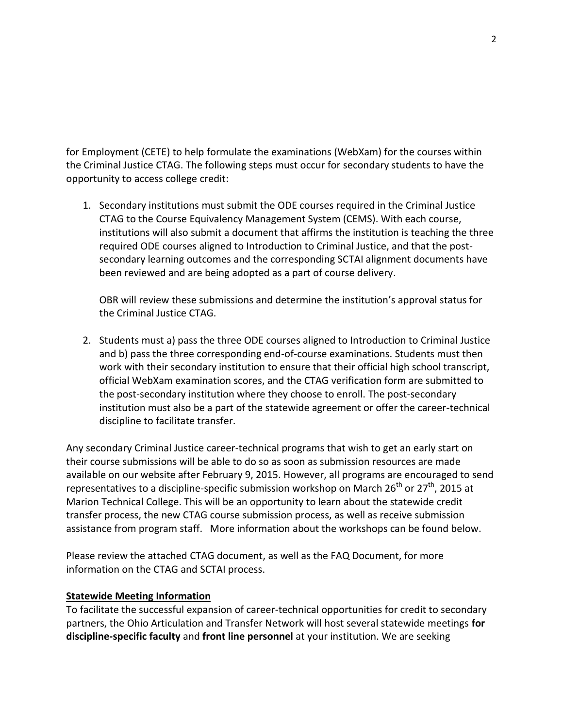for Employment (CETE) to help formulate the examinations (WebXam) for the courses within the Criminal Justice CTAG. The following steps must occur for secondary students to have the opportunity to access college credit:

1. Secondary institutions must submit the ODE courses required in the Criminal Justice CTAG to the Course Equivalency Management System (CEMS). With each course, institutions will also submit a document that affirms the institution is teaching the three required ODE courses aligned to Introduction to Criminal Justice, and that the postsecondary learning outcomes and the corresponding SCTAI alignment documents have been reviewed and are being adopted as a part of course delivery.

OBR will review these submissions and determine the institution's approval status for the Criminal Justice CTAG.

2. Students must a) pass the three ODE courses aligned to Introduction to Criminal Justice and b) pass the three corresponding end-of-course examinations. Students must then work with their secondary institution to ensure that their official high school transcript, official WebXam examination scores, and the CTAG verification form are submitted to the post-secondary institution where they choose to enroll. The post-secondary institution must also be a part of the statewide agreement or offer the career-technical discipline to facilitate transfer.

Any secondary Criminal Justice career-technical programs that wish to get an early start on their course submissions will be able to do so as soon as submission resources are made available on our website after February 9, 2015. However, all programs are encouraged to send representatives to a discipline-specific submission workshop on March  $26^{th}$  or  $27^{th}$ , 2015 at Marion Technical College. This will be an opportunity to learn about the statewide credit transfer process, the new CTAG course submission process, as well as receive submission assistance from program staff. More information about the workshops can be found below.

Please review the attached CTAG document, as well as the FAQ Document, for more information on the CTAG and SCTAI process.

## **Statewide Meeting Information**

To facilitate the successful expansion of career-technical opportunities for credit to secondary partners, the Ohio Articulation and Transfer Network will host several statewide meetings **for discipline-specific faculty** and **front line personnel** at your institution. We are seeking